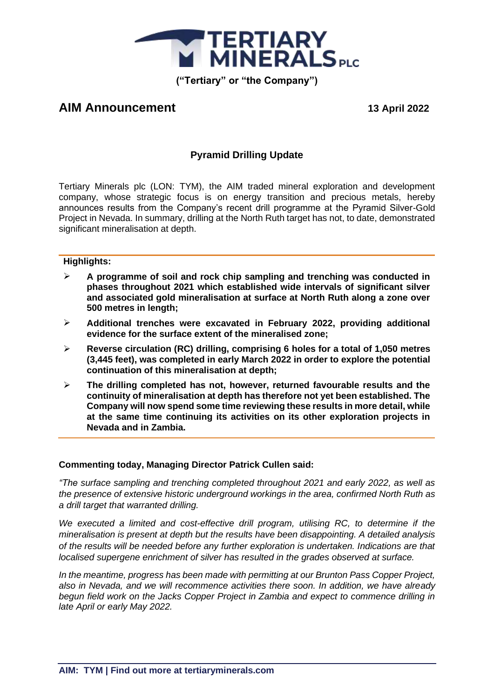

# **AIM Announcement 13 April 2022**

# **Pyramid Drilling Update**

Tertiary Minerals plc (LON: TYM), the AIM traded mineral exploration and development company, whose strategic focus is on energy transition and precious metals, hereby announces results from the Company's recent drill programme at the Pyramid Silver-Gold Project in Nevada. In summary, drilling at the North Ruth target has not, to date, demonstrated significant mineralisation at depth.

#### **Highlights:**

- ➢ **A programme of soil and rock chip sampling and trenching was conducted in phases throughout 2021 which established wide intervals of significant silver and associated gold mineralisation at surface at North Ruth along a zone over 500 metres in length;**
- ➢ **Additional trenches were excavated in February 2022, providing additional evidence for the surface extent of the mineralised zone;**
- ➢ **Reverse circulation (RC) drilling, comprising 6 holes for a total of 1,050 metres (3,445 feet), was completed in early March 2022 in order to explore the potential continuation of this mineralisation at depth;**
- ➢ **The drilling completed has not, however, returned favourable results and the continuity of mineralisation at depth has therefore not yet been established. The Company will now spend some time reviewing these results in more detail, while at the same time continuing its activities on its other exploration projects in Nevada and in Zambia.**

#### **Commenting today, Managing Director Patrick Cullen said:**

*"The surface sampling and trenching completed throughout 2021 and early 2022, as well as the presence of extensive historic underground workings in the area, confirmed North Ruth as a drill target that warranted drilling.*

*We executed a limited and cost-effective drill program, utilising RC, to determine if the mineralisation is present at depth but the results have been disappointing. A detailed analysis of the results will be needed before any further exploration is undertaken. Indications are that localised supergene enrichment of silver has resulted in the grades observed at surface.*

*In the meantime, progress has been made with permitting at our Brunton Pass Copper Project, also in Nevada, and we will recommence activities there soon. In addition, we have already begun field work on the Jacks Copper Project in Zambia and expect to commence drilling in late April or early May 2022.*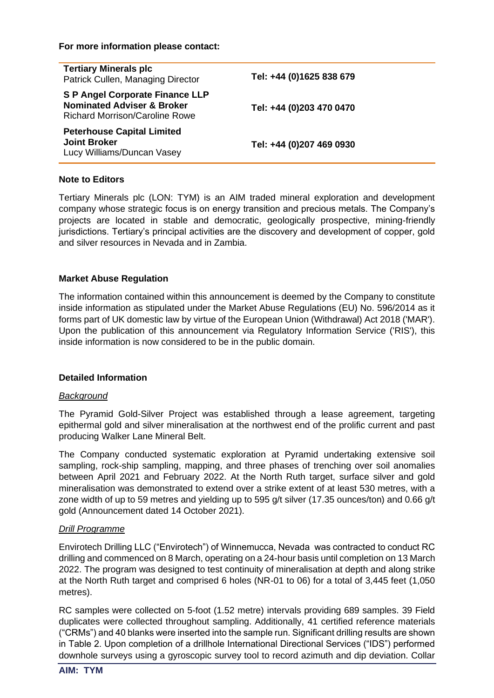#### **For more information please contact:**

| <b>Tertiary Minerals plc</b><br>Patrick Cullen, Managing Director                                                 | Tel: +44 (0)1625 838 679 |
|-------------------------------------------------------------------------------------------------------------------|--------------------------|
| <b>S P Angel Corporate Finance LLP</b><br><b>Nominated Adviser &amp; Broker</b><br>Richard Morrison/Caroline Rowe | Tel: +44 (0)203 470 0470 |
| <b>Peterhouse Capital Limited</b><br><b>Joint Broker</b><br>Lucy Williams/Duncan Vasey                            | Tel: +44 (0)207 469 0930 |

#### **Note to Editors**

Tertiary Minerals plc (LON: TYM) is an AIM traded mineral exploration and development company whose strategic focus is on energy transition and precious metals. The Company's projects are located in stable and democratic, geologically prospective, mining-friendly jurisdictions. Tertiary's principal activities are the discovery and development of copper, gold and silver resources in Nevada and in Zambia.

### **Market Abuse Regulation**

The information contained within this announcement is deemed by the Company to constitute inside information as stipulated under the Market Abuse Regulations (EU) No. 596/2014 as it forms part of UK domestic law by virtue of the European Union (Withdrawal) Act 2018 ('MAR'). Upon the publication of this announcement via Regulatory Information Service ('RIS'), this inside information is now considered to be in the public domain.

#### **Detailed Information**

#### *Background*

The Pyramid Gold-Silver Project was established through a lease agreement, targeting epithermal gold and silver mineralisation at the northwest end of the prolific current and past producing Walker Lane Mineral Belt.

The Company conducted systematic exploration at Pyramid undertaking extensive soil sampling, rock-ship sampling, mapping, and three phases of trenching over soil anomalies between April 2021 and February 2022. At the North Ruth target, surface silver and gold mineralisation was demonstrated to extend over a strike extent of at least 530 metres, with a zone width of up to 59 metres and yielding up to 595 g/t silver (17.35 ounces/ton) and 0.66 g/t gold (Announcement dated 14 October 2021).

#### *Drill Programme*

Envirotech Drilling LLC ("Envirotech") of Winnemucca, Nevada was contracted to conduct RC drilling and commenced on 8 March, operating on a 24-hour basis until completion on 13 March 2022. The program was designed to test continuity of mineralisation at depth and along strike at the North Ruth target and comprised 6 holes (NR-01 to 06) for a total of 3,445 feet (1,050 metres).

RC samples were collected on 5-foot (1.52 metre) intervals providing 689 samples. 39 Field duplicates were collected throughout sampling. Additionally, 41 certified reference materials ("CRMs") and 40 blanks were inserted into the sample run. Significant drilling results are shown in Table 2. Upon completion of a drillhole International Directional Services ("IDS") performed downhole surveys using a gyroscopic survey tool to record azimuth and dip deviation. Collar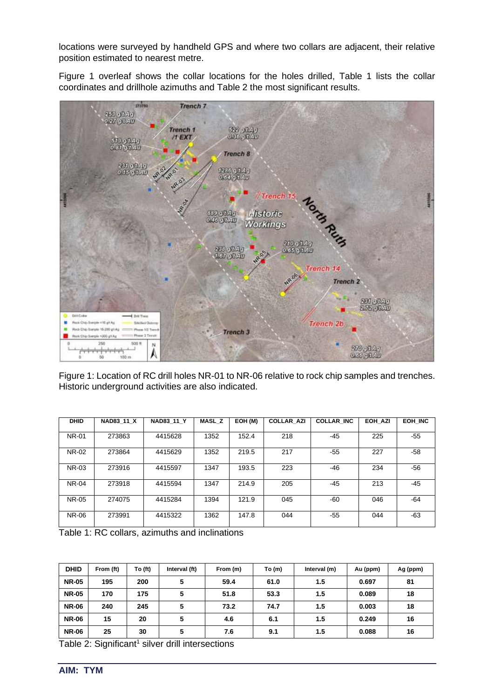locations were surveyed by handheld GPS and where two collars are adjacent, their relative position estimated to nearest metre.

Figure 1 overleaf shows the collar locations for the holes drilled, Table 1 lists the collar coordinates and drillhole azimuths and Table 2 the most significant results.



Figure 1: Location of RC drill holes NR-01 to NR-06 relative to rock chip samples and trenches. Historic underground activities are also indicated.

| <b>DHID</b>  | <b>NAD83 11 X</b> | <b>NAD83 11 Y</b> | <b>MASL Z</b> | EOH (M) | <b>COLLAR AZI</b> | <b>COLLAR INC</b> | EOH AZI | EOH INC |
|--------------|-------------------|-------------------|---------------|---------|-------------------|-------------------|---------|---------|
| <b>NR-01</b> | 273863            | 4415628           | 1352          | 152.4   | 218               | $-45$             | 225     | $-55$   |
| NR-02        | 273864            | 4415629           | 1352          | 219.5   | 217               | $-55$             | 227     | $-58$   |
| <b>NR-03</b> | 273916            | 4415597           | 1347          | 193.5   | 223               | -46               | 234     | $-56$   |
| <b>NR-04</b> | 273918            | 4415594           | 1347          | 214.9   | 205               | -45               | 213     | $-45$   |
| NR-05        | 274075            | 4415284           | 1394          | 121.9   | 045               | $-60$             | 046     | -64     |
| NR-06        | 273991            | 4415322           | 1362          | 147.8   | 044               | $-55$             | 044     | $-63$   |

Table 1: RC collars, azimuths and inclinations

| <b>DHID</b>  | From (ft) | To (ft) | Interval (ft) | From (m) | To(m) | Interval (m) | Au (ppm) | Ag (ppm) |
|--------------|-----------|---------|---------------|----------|-------|--------------|----------|----------|
| <b>NR-05</b> | 195       | 200     | 5             | 59.4     | 61.0  | 1.5          | 0.697    | 81       |
| <b>NR-05</b> | 170       | 175     | 5             | 51.8     | 53.3  | 1.5          | 0.089    | 18       |
| <b>NR-06</b> | 240       | 245     | 5             | 73.2     | 74.7  | 1.5          | 0.003    | 18       |
| <b>NR-06</b> | 15        | 20      | 5             | 4.6      | 6.1   | 1.5          | 0.249    | 16       |
| <b>NR-06</b> | 25        | 30      | 5             | 7.6      | 9.1   | 1.5          | 0.088    | 16       |

Table 2: Significant<sup>1</sup> silver drill intersections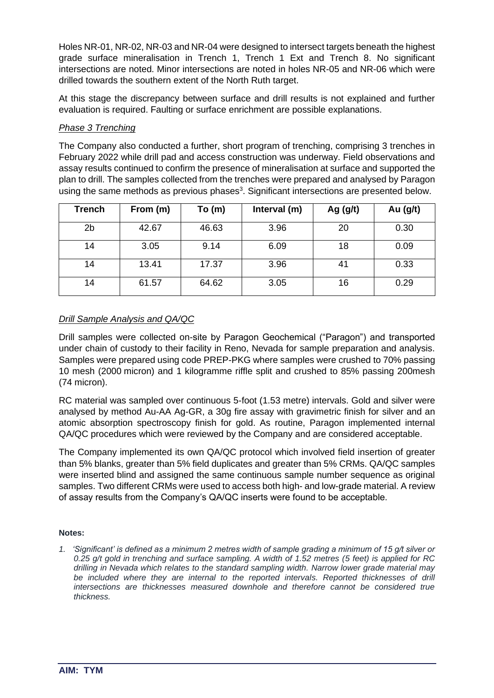Holes NR-01, NR-02, NR-03 and NR-04 were designed to intersect targets beneath the highest grade surface mineralisation in Trench 1, Trench 1 Ext and Trench 8. No significant intersections are noted. Minor intersections are noted in holes NR-05 and NR-06 which were drilled towards the southern extent of the North Ruth target.

At this stage the discrepancy between surface and drill results is not explained and further evaluation is required. Faulting or surface enrichment are possible explanations.

## *Phase 3 Trenching*

The Company also conducted a further, short program of trenching, comprising 3 trenches in February 2022 while drill pad and access construction was underway. Field observations and assay results continued to confirm the presence of mineralisation at surface and supported the plan to drill. The samples collected from the trenches were prepared and analysed by Paragon using the same methods as previous phases<sup>3</sup>. Significant intersections are presented below.

| <b>Trench</b>  | From (m) | To(m) | Interval (m) | Ag $(g/t)$ | Au $(g/t)$ |
|----------------|----------|-------|--------------|------------|------------|
| 2 <sub>b</sub> | 42.67    | 46.63 | 3.96         | 20         | 0.30       |
| 14             | 3.05     | 9.14  | 6.09         | 18         | 0.09       |
| 14             | 13.41    | 17.37 | 3.96         | 41         | 0.33       |
| 14             | 61.57    | 64.62 | 3.05         | 16         | 0.29       |

# *Drill Sample Analysis and QA/QC*

Drill samples were collected on-site by Paragon Geochemical ("Paragon") and transported under chain of custody to their facility in Reno, Nevada for sample preparation and analysis. Samples were prepared using code PREP-PKG where samples were crushed to 70% passing 10 mesh (2000 micron) and 1 kilogramme riffle split and crushed to 85% passing 200mesh (74 micron).

RC material was sampled over continuous 5-foot (1.53 metre) intervals. Gold and silver were analysed by method Au-AA Ag-GR, a 30g fire assay with gravimetric finish for silver and an atomic absorption spectroscopy finish for gold. As routine, Paragon implemented internal QA/QC procedures which were reviewed by the Company and are considered acceptable.

The Company implemented its own QA/QC protocol which involved field insertion of greater than 5% blanks, greater than 5% field duplicates and greater than 5% CRMs. QA/QC samples were inserted blind and assigned the same continuous sample number sequence as original samples. Two different CRMs were used to access both high- and low-grade material. A review of assay results from the Company's QA/QC inserts were found to be acceptable.

#### **Notes:**

*1. 'Significant' is defined as a minimum 2 metres width of sample grading a minimum of 15 g/t silver or 0.25 g/t gold in trenching and surface sampling. A width of 1.52 metres (5 feet) is applied for RC drilling in Nevada which relates to the standard sampling width. Narrow lower grade material may*  be included where they are internal to the reported intervals. Reported thicknesses of drill *intersections are thicknesses measured downhole and therefore cannot be considered true thickness.*